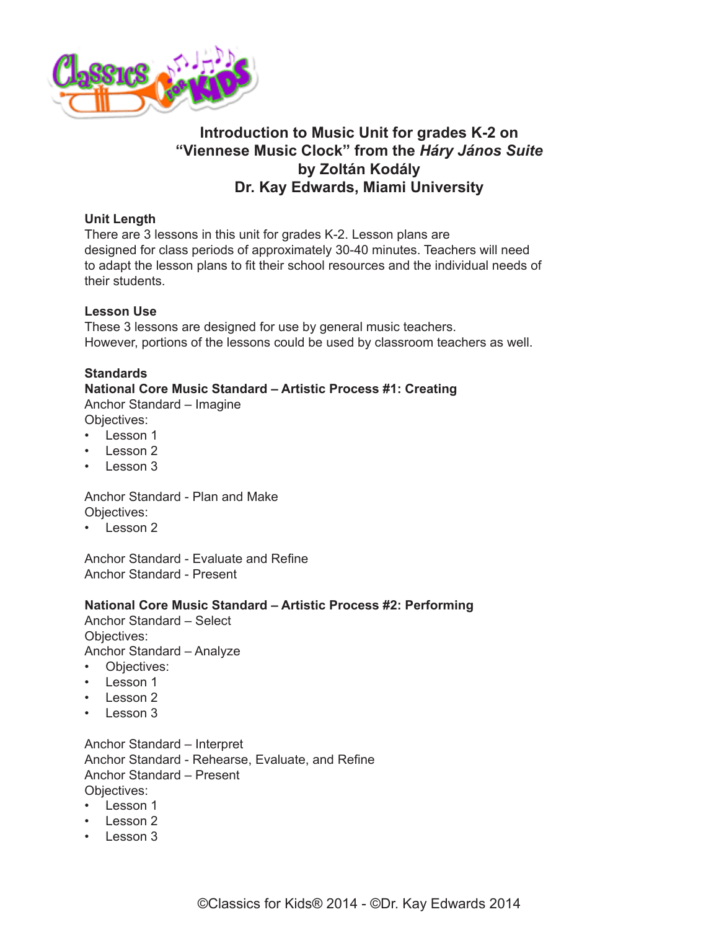

# **Introduction to Music Unit for grades K-2 on "Viennese Music Clock" from the** *Háry János Suite* **by Zoltán Kodály Dr. Kay Edwards, Miami University**

## **Unit Length**

There are 3 lessons in this unit for grades K-2. Lesson plans are designed for class periods of approximately 30-40 minutes. Teachers will need to adapt the lesson plans to fit their school resources and the individual needs of their students.

## **Lesson Use**

These 3 lessons are designed for use by general music teachers. However, portions of the lessons could be used by classroom teachers as well.

## **Standards**

# **National Core Music Standard – Artistic Process #1: Creating**

Anchor Standard – Imagine

- Objectives:
- Lesson 1
- Lesson 2
- Lesson 3

Anchor Standard - Plan and Make Objectives:

• Lesson 2

Anchor Standard - Evaluate and Refine Anchor Standard - Present

#### **National Core Music Standard – Artistic Process #2: Performing**

Anchor Standard – Select Objectives:

Anchor Standard – Analyze

- Objectives:
- Lesson 1
- Lesson 2
- Lesson 3

Anchor Standard – Interpret Anchor Standard - Rehearse, Evaluate, and Refine Anchor Standard – Present Objectives:

- Lesson 1
- Lesson 2
- Lesson 3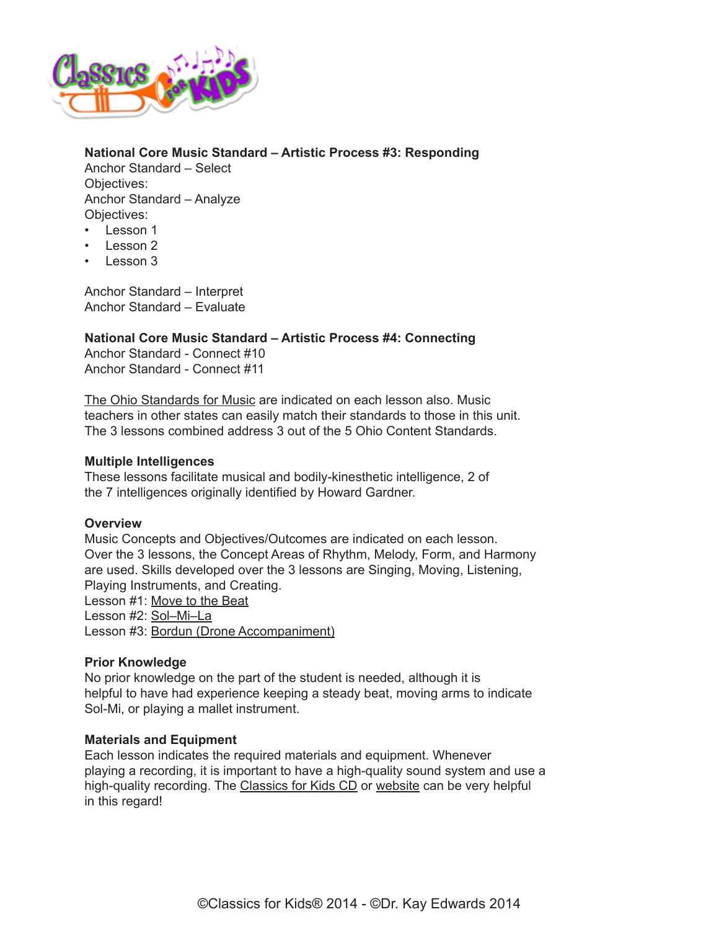

**National Core Music Standard – Artistic Process #3: Responding** Anchor Standard – Select Objectives: Anchor Standard – Analyze Objectives: • Lesson 1

- Lesson 2
- Lesson 3

Anchor Standard – Interpret Anchor Standard – Evaluate

**National Core Music Standard – Artistic Process #4: Connecting**

Anchor Standard - Connect #10 Anchor Standard - Connect #11

[The Ohio Standards for Music](http://education.ohio.gov/Topics/Academic-Content-Standards/2012-Revised-Fine-Arts-Standards) are indicated on each lesson also. Music teachers in other states can easily match their standards to those in this unit. The 3 lessons combined address 3 out of the 5 Ohio Content Standards.

#### **Multiple Intelligences**

These lessons facilitate musical and bodily-kinesthetic intelligence, 2 of the 7 intelligences originally identified by Howard Gardner.

#### **Overview**

Music Concepts and Objectives/Outcomes are indicated on each lesson. Over the 3 lessons, the Concept Areas of Rhythm, Melody, Form, and Harmony are used. Skills developed over the 3 lessons are Singing, Moving, Listening, Playing Instruments, and Creating. Lesson #1: [Move to the Beat](http://www.classicsforkids.com/downloads/kodaly/Kodaly_LessonPlansK-2_part1.pdf) Lesson #2: [Sol–Mi–La](http://www.classicsforkids.com/downloads/kodaly/Kodaly_LessonPlansK-2_part2.pdf) Lesson #3: [Bordun \(Drone Accompaniment\)](http://www.classicsforkids.com/downloads/kodaly/Kodaly_LessonPlansK-2_part3.pdf)

#### **Prior Knowledge**

No prior knowledge on the part of the student is needed, although it is helpful to have had experience keeping a steady beat, moving arms to indicate Sol-Mi, or playing a mallet instrument.

#### **Materials and Equipment**

Each lesson indicates the required materials and equipment. Whenever playing a recording, it is important to have a high-quality sound system and use a high-quality recording. The [Classics for Kids CD](https://secure2.convio.net/cpr/site/Ecommerce/1029952731?VIEW_PRODUCT=true&product_id=1080&store_id=1101) or [website](http://www.classicsforkids.com) can be very helpful in this regard!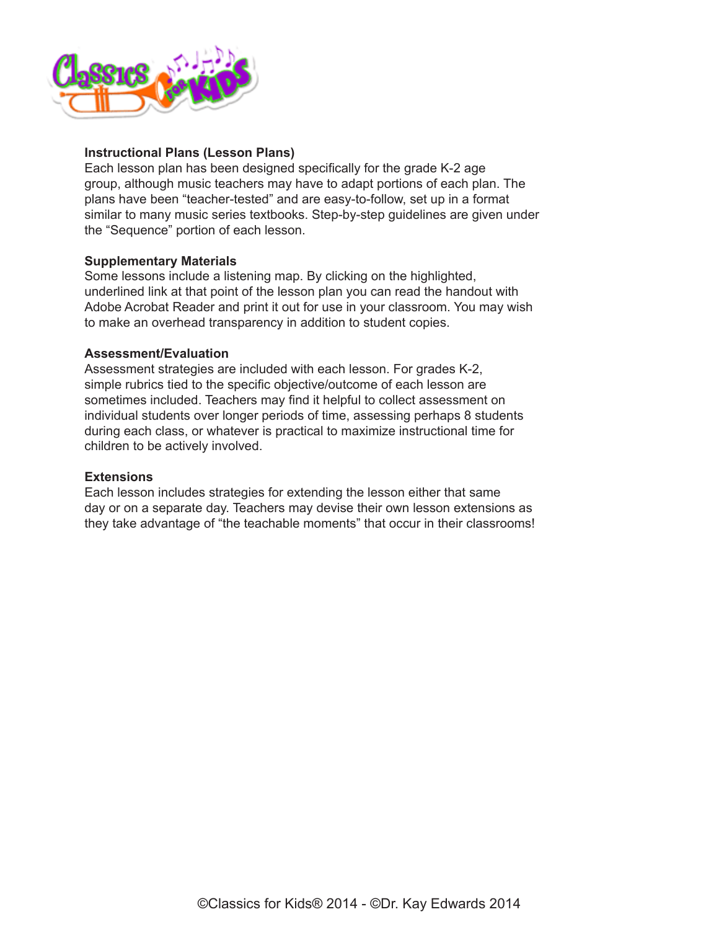

## **Instructional Plans (Lesson Plans)**

Each lesson plan has been designed specifically for the grade K-2 age group, although music teachers may have to adapt portions of each plan. The plans have been "teacher-tested" and are easy-to-follow, set up in a format similar to many music series textbooks. Step-by-step guidelines are given under the "Sequence" portion of each lesson.

#### **Supplementary Materials**

Some lessons include a listening map. By clicking on the highlighted, underlined link at that point of the lesson plan you can read the handout with Adobe Acrobat Reader and print it out for use in your classroom. You may wish to make an overhead transparency in addition to student copies.

#### **Assessment/Evaluation**

Assessment strategies are included with each lesson. For grades K-2, simple rubrics tied to the specific objective/outcome of each lesson are sometimes included. Teachers may find it helpful to collect assessment on individual students over longer periods of time, assessing perhaps 8 students during each class, or whatever is practical to maximize instructional time for children to be actively involved.

#### **Extensions**

Each lesson includes strategies for extending the lesson either that same day or on a separate day. Teachers may devise their own lesson extensions as they take advantage of "the teachable moments" that occur in their classrooms!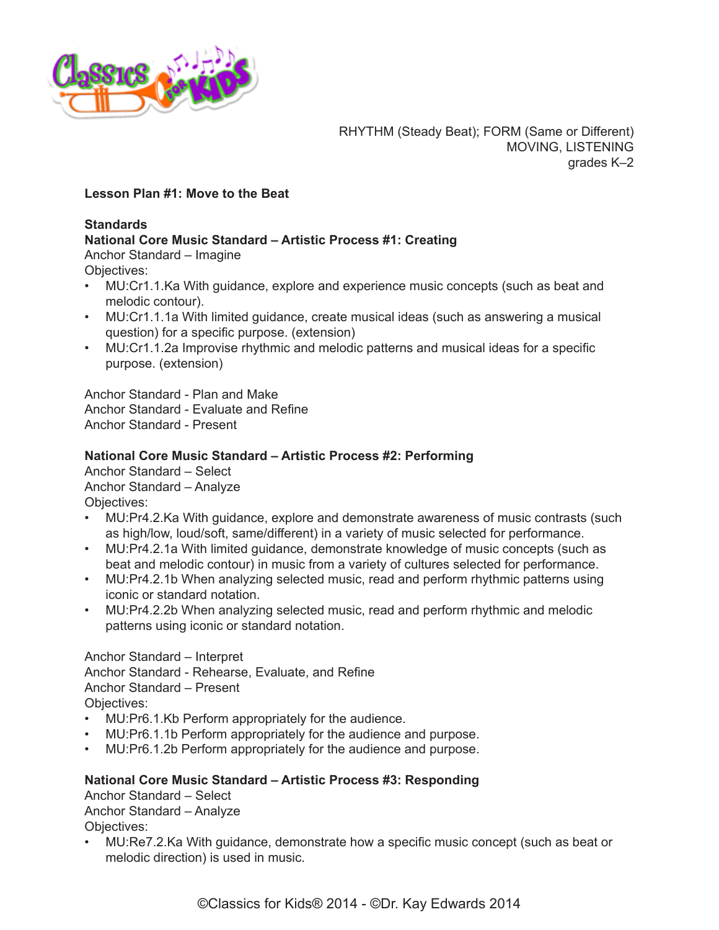

## **Lesson Plan #1: Move to the Beat**

#### **Standards**

## **National Core Music Standard – Artistic Process #1: Creating**

Anchor Standard – Imagine

Objectives:

- MU:Cr1.1.Ka With guidance, explore and experience music concepts (such as beat and melodic contour).
- MU:Cr1.1.1a With limited guidance, create musical ideas (such as answering a musical question) for a specific purpose. (extension)
- MU:Cr1.1.2a Improvise rhythmic and melodic patterns and musical ideas for a specific purpose. (extension)

Anchor Standard - Plan and Make Anchor Standard - Evaluate and Refine Anchor Standard - Present

## **National Core Music Standard – Artistic Process #2: Performing**

Anchor Standard – Select Anchor Standard – Analyze Objectives:

- MU:Pr4.2.Ka With guidance, explore and demonstrate awareness of music contrasts (such as high/low, loud/soft, same/different) in a variety of music selected for performance.
- MU:Pr4.2.1a With limited guidance, demonstrate knowledge of music concepts (such as beat and melodic contour) in music from a variety of cultures selected for performance.
- MU:Pr4.2.1b When analyzing selected music, read and perform rhythmic patterns using iconic or standard notation.
- MU:Pr4.2.2b When analyzing selected music, read and perform rhythmic and melodic patterns using iconic or standard notation.

Anchor Standard – Interpret Anchor Standard - Rehearse, Evaluate, and Refine Anchor Standard – Present Objectives:

- MU:Pr6.1.Kb Perform appropriately for the audience.
- MU:Pr6.1.1b Perform appropriately for the audience and purpose.
- MU:Pr6.1.2b Perform appropriately for the audience and purpose.

#### **National Core Music Standard – Artistic Process #3: Responding**

Anchor Standard – Select Anchor Standard – Analyze Objectives:

• MU:Re7.2.Ka With guidance, demonstrate how a specific music concept (such as beat or melodic direction) is used in music.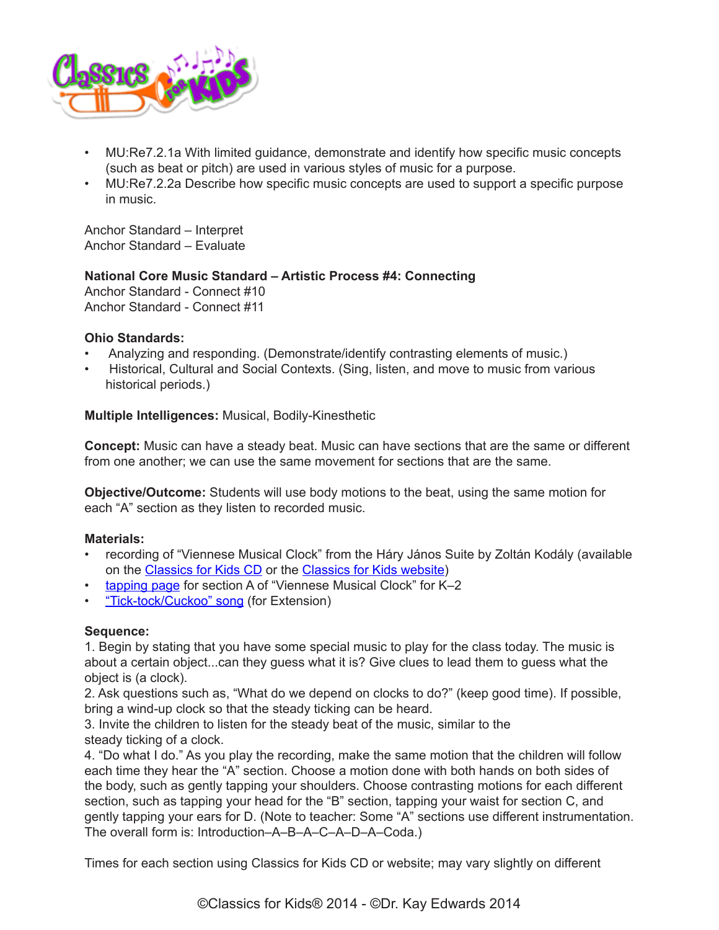

- MU:Re7.2.1a With limited guidance, demonstrate and identify how specific music concepts (such as beat or pitch) are used in various styles of music for a purpose.
- MU:Re7.2.2a Describe how specific music concepts are used to support a specific purpose in music.

Anchor Standard – Interpret Anchor Standard – Evaluate

## **National Core Music Standard – Artistic Process #4: Connecting**

Anchor Standard - Connect #10 Anchor Standard - Connect #11

## **Ohio Standards:**

- Analyzing and responding. (Demonstrate/identify contrasting elements of music.)
- Historical, Cultural and Social Contexts. (Sing, listen, and move to music from various historical periods.)

**Multiple Intelligences:** Musical, Bodily-Kinesthetic

**Concept:** Music can have a steady beat. Music can have sections that are the same or different from one another; we can use the same movement for sections that are the same.

**Objective/Outcome:** Students will use body motions to the beat, using the same motion for each "A" section as they listen to recorded music.

## **Materials:**

- recording of "Viennese Musical Clock" from the Háry János Suite by Zoltán Kodály (available on the [Classics for Kids CD](https://www.classicsforkids.com/more/cfk_cd.html) or the [Classics for Kids website](https://www.classicsforkids.com/music/hearthemusic.php?id=34))
- [tapping page](https://www.classicsforkids.com/downloads/kodaly/KodalyClocksK-2TappingPage.pdf) for section A of "Viennese Musical Clock" for K-2
- ["Tick-tock/Cuckoo" song](https://www.classicsforkids.com/downloads/kodaly/TickTockCuckoo.pdf) (for Extension)

#### **Sequence:**

1. Begin by stating that you have some special music to play for the class today. The music is about a certain object...can they guess what it is? Give clues to lead them to guess what the object is (a clock).

2. Ask questions such as, "What do we depend on clocks to do?" (keep good time). If possible, bring a wind-up clock so that the steady ticking can be heard.

3. Invite the children to listen for the steady beat of the music, similar to the steady ticking of a clock.

4. "Do what I do." As you play the recording, make the same motion that the children will follow each time they hear the "A" section. Choose a motion done with both hands on both sides of the body, such as gently tapping your shoulders. Choose contrasting motions for each different section, such as tapping your head for the "B" section, tapping your waist for section C, and gently tapping your ears for D. (Note to teacher: Some "A" sections use different instrumentation. The overall form is: Introduction–A–B–A–C–A–D–A–Coda.)

Times for each section using Classics for Kids CD or website; may vary slightly on different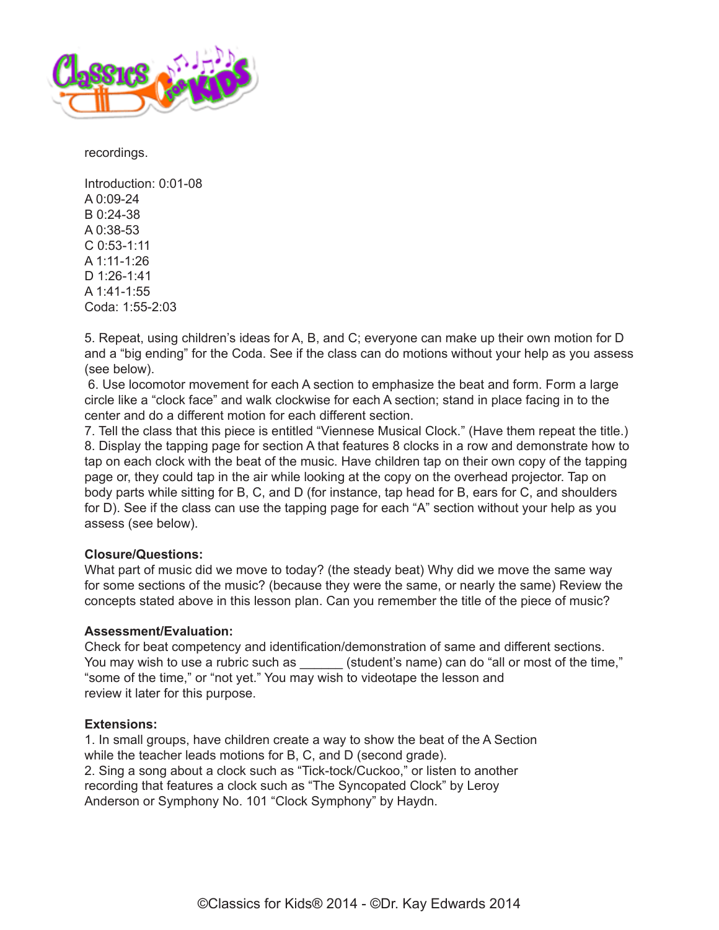

recordings.

Introduction: 0:01-08  $A$  0:09-24 B 0:24-38  $A$  0:38-53 C 0:53-1:11 A 1:11-1:26 D 1:26-1:41 A 1:41-1:55 Coda: 1:55-2:03

5. Repeat, using children's ideas for A, B, and C; everyone can make up their own motion for D and a "big ending" for the Coda. See if the class can do motions without your help as you assess (see below).

 6. Use locomotor movement for each A section to emphasize the beat and form. Form a large circle like a "clock face" and walk clockwise for each A section; stand in place facing in to the center and do a different motion for each different section.

7. Tell the class that this piece is entitled "Viennese Musical Clock." (Have them repeat the title.) 8. Display the tapping page for section A that features 8 clocks in a row and demonstrate how to tap on each clock with the beat of the music. Have children tap on their own copy of the tapping page or, they could tap in the air while looking at the copy on the overhead projector. Tap on body parts while sitting for B, C, and D (for instance, tap head for B, ears for C, and shoulders for D). See if the class can use the tapping page for each "A" section without your help as you assess (see below).

## **Closure/Questions:**

What part of music did we move to today? (the steady beat) Why did we move the same way for some sections of the music? (because they were the same, or nearly the same) Review the concepts stated above in this lesson plan. Can you remember the title of the piece of music?

#### **Assessment/Evaluation:**

Check for beat competency and identification/demonstration of same and different sections. You may wish to use a rubric such as \_\_\_\_\_\_ (student's name) can do "all or most of the time," "some of the time," or "not yet." You may wish to videotape the lesson and review it later for this purpose.

#### **Extensions:**

1. In small groups, have children create a way to show the beat of the A Section while the teacher leads motions for B, C, and D (second grade). 2. Sing a song about a clock such as "Tick-tock/Cuckoo," or listen to another recording that features a clock such as "The Syncopated Clock" by Leroy Anderson or Symphony No. 101 "Clock Symphony" by Haydn.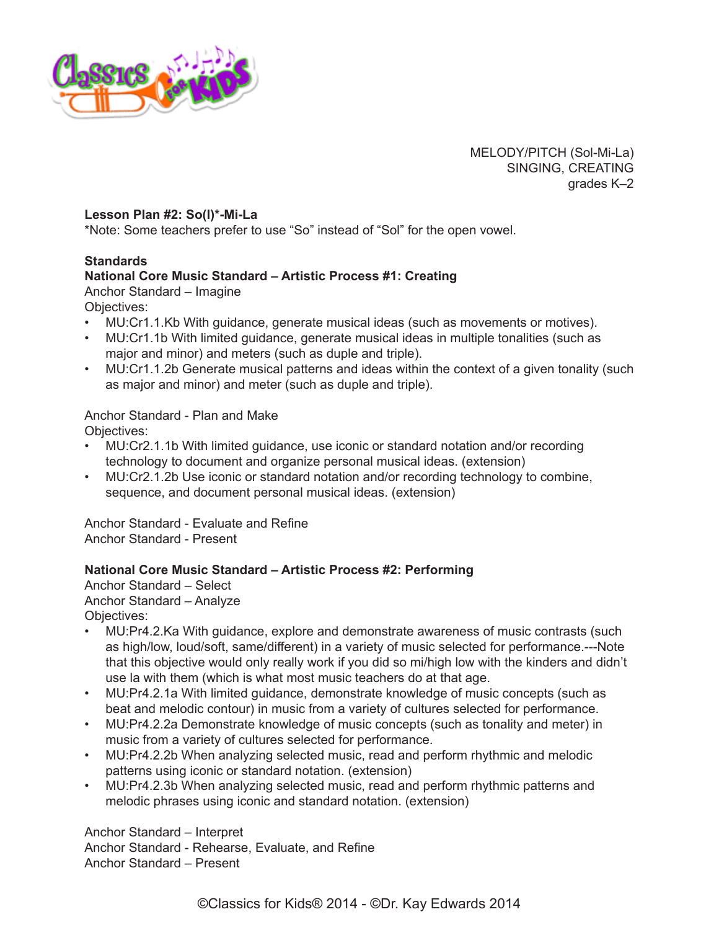

MELODY/PITCH (Sol-Mi-La) SINGING, CREATING grades K–2

#### **Lesson Plan #2: So(l)\*-Mi-La**

\*Note: Some teachers prefer to use "So" instead of "Sol" for the open vowel.

## **Standards**

## **National Core Music Standard – Artistic Process #1: Creating**

Anchor Standard – Imagine

Objectives:

- MU:Cr1.1.Kb With guidance, generate musical ideas (such as movements or motives).
- MU:Cr1.1b With limited guidance, generate musical ideas in multiple tonalities (such as major and minor) and meters (such as duple and triple).
- MU:Cr1.1.2b Generate musical patterns and ideas within the context of a given tonality (such as major and minor) and meter (such as duple and triple).

# Anchor Standard - Plan and Make

Objectives:

- MU:Cr2.1.1b With limited guidance, use iconic or standard notation and/or recording technology to document and organize personal musical ideas. (extension)
- MU:Cr2.1.2b Use iconic or standard notation and/or recording technology to combine, sequence, and document personal musical ideas. (extension)

Anchor Standard - Evaluate and Refine Anchor Standard - Present

## **National Core Music Standard – Artistic Process #2: Performing**

Anchor Standard – Select Anchor Standard – Analyze Objectives:

- MU:Pr4.2.Ka With guidance, explore and demonstrate awareness of music contrasts (such as high/low, loud/soft, same/different) in a variety of music selected for performance.---Note that this objective would only really work if you did so mi/high low with the kinders and didn't use la with them (which is what most music teachers do at that age.
- MU:Pr4.2.1a With limited guidance, demonstrate knowledge of music concepts (such as beat and melodic contour) in music from a variety of cultures selected for performance.
- MU:Pr4.2.2a Demonstrate knowledge of music concepts (such as tonality and meter) in music from a variety of cultures selected for performance.
- MU:Pr4.2.2b When analyzing selected music, read and perform rhythmic and melodic patterns using iconic or standard notation. (extension)
- MU:Pr4.2.3b When analyzing selected music, read and perform rhythmic patterns and melodic phrases using iconic and standard notation. (extension)

Anchor Standard – Interpret Anchor Standard - Rehearse, Evaluate, and Refine Anchor Standard – Present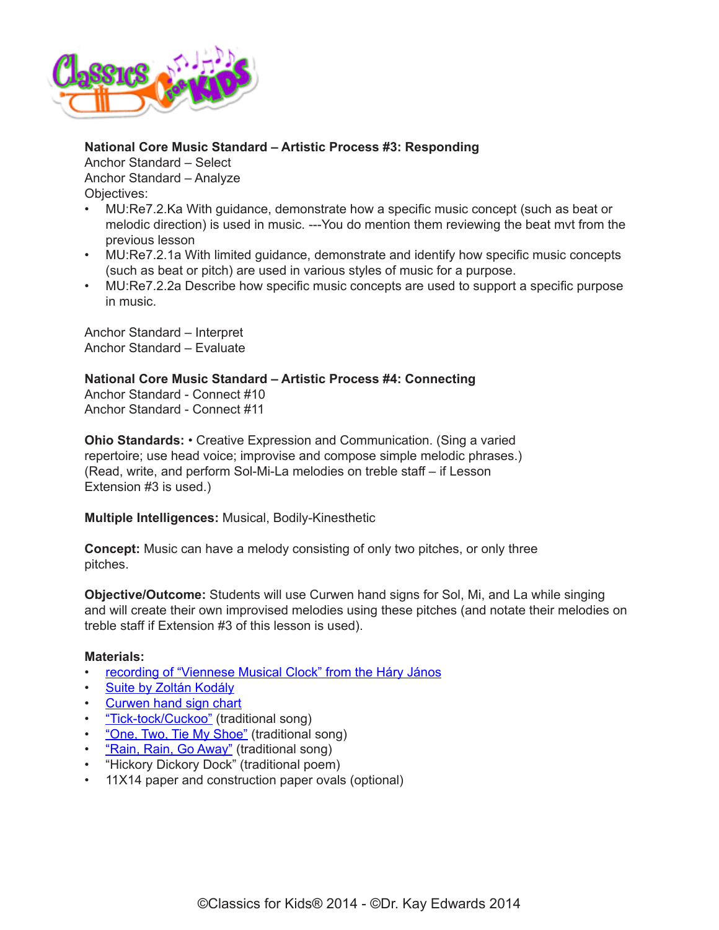

## **National Core Music Standard – Artistic Process #3: Responding**

Anchor Standard – Select Anchor Standard – Analyze Objectives:

- MU:Re7.2.Ka With guidance, demonstrate how a specific music concept (such as beat or melodic direction) is used in music. ---You do mention them reviewing the beat mvt from the previous lesson
- MU:Re7.2.1a With limited guidance, demonstrate and identify how specific music concepts (such as beat or pitch) are used in various styles of music for a purpose.
- MU:Re7.2.2a Describe how specific music concepts are used to support a specific purpose in music.

Anchor Standard – Interpret Anchor Standard – Evaluate

## **National Core Music Standard – Artistic Process #4: Connecting**

Anchor Standard - Connect #10 Anchor Standard - Connect #11

**Ohio Standards:** • Creative Expression and Communication. (Sing a varied repertoire; use head voice; improvise and compose simple melodic phrases.) (Read, write, and perform Sol-Mi-La melodies on treble staff – if Lesson Extension #3 is used.)

**Multiple Intelligences:** Musical, Bodily-Kinesthetic

**Concept:** Music can have a melody consisting of only two pitches, or only three pitches.

**Objective/Outcome:** Students will use Curwen hand signs for Sol, Mi, and La while singing and will create their own improvised melodies using these pitches (and notate their melodies on treble staff if Extension #3 of this lesson is used).

## **Materials:**

- [recording of "Viennese Musical Clock" from the Háry János](http://classicsforkids.com/music/hearthemusic.php?id=34)
- [Suite by Zoltán Kodály](http://classicsforkids.com/music/hearthemusic.php?id=34)
- [Curwen hand sign chart](http://www.classicsforkids.com/downloads/kodaly/KodalyHandSigns.pdf)
- ["Tick-tock/Cuckoo"](https://www.classicsforkids.com/downloads/kodaly/TickTockCuckoo.pdf) (traditional song)
- ["One, Two, Tie My Shoe"](https://www.classicsforkids.com/downloads/kodaly/RainRainOneTwo.pdf) (traditional song)
- **["Rain, Rain, Go Away"](https://www.classicsforkids.com/downloads/kodaly/RainRainOneTwo.pdf)** (traditional song)
- "Hickory Dickory Dock" (traditional poem)
- 11X14 paper and construction paper ovals (optional)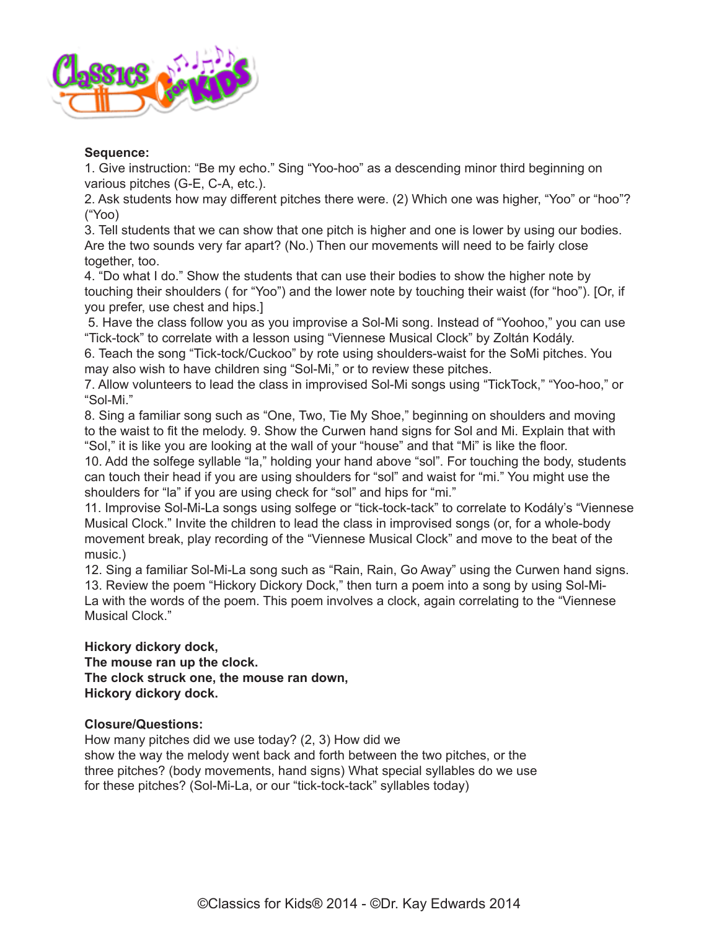

## **Sequence:**

1. Give instruction: "Be my echo." Sing "Yoo-hoo" as a descending minor third beginning on various pitches (G-E, C-A, etc.).

2. Ask students how may different pitches there were. (2) Which one was higher, "Yoo" or "hoo"? ("Yoo)

3. Tell students that we can show that one pitch is higher and one is lower by using our bodies. Are the two sounds very far apart? (No.) Then our movements will need to be fairly close together, too.

4. "Do what I do." Show the students that can use their bodies to show the higher note by touching their shoulders ( for "Yoo") and the lower note by touching their waist (for "hoo"). [Or, if you prefer, use chest and hips.]

 5. Have the class follow you as you improvise a Sol-Mi song. Instead of "Yoohoo," you can use "Tick-tock" to correlate with a lesson using "Viennese Musical Clock" by Zoltán Kodály.

6. Teach the song "Tick-tock/Cuckoo" by rote using shoulders-waist for the SoMi pitches. You may also wish to have children sing "Sol-Mi," or to review these pitches.

7. Allow volunteers to lead the class in improvised Sol-Mi songs using "TickTock," "Yoo-hoo," or "Sol-Mi."

8. Sing a familiar song such as "One, Two, Tie My Shoe," beginning on shoulders and moving to the waist to fit the melody. 9. Show the Curwen hand signs for Sol and Mi. Explain that with "Sol," it is like you are looking at the wall of your "house" and that "Mi" is like the floor.

10. Add the solfege syllable "la," holding your hand above "sol". For touching the body, students can touch their head if you are using shoulders for "sol" and waist for "mi." You might use the shoulders for "la" if you are using check for "sol" and hips for "mi."

11. Improvise Sol-Mi-La songs using solfege or "tick-tock-tack" to correlate to Kodály's "Viennese Musical Clock." Invite the children to lead the class in improvised songs (or, for a whole-body movement break, play recording of the "Viennese Musical Clock" and move to the beat of the music.)

12. Sing a familiar Sol-Mi-La song such as "Rain, Rain, Go Away" using the Curwen hand signs. 13. Review the poem "Hickory Dickory Dock," then turn a poem into a song by using Sol-Mi-La with the words of the poem. This poem involves a clock, again correlating to the "Viennese Musical Clock."

## **Hickory dickory dock, The mouse ran up the clock. The clock struck one, the mouse ran down, Hickory dickory dock.**

## **Closure/Questions:**

How many pitches did we use today? (2, 3) How did we show the way the melody went back and forth between the two pitches, or the three pitches? (body movements, hand signs) What special syllables do we use for these pitches? (Sol-Mi-La, or our "tick-tock-tack" syllables today)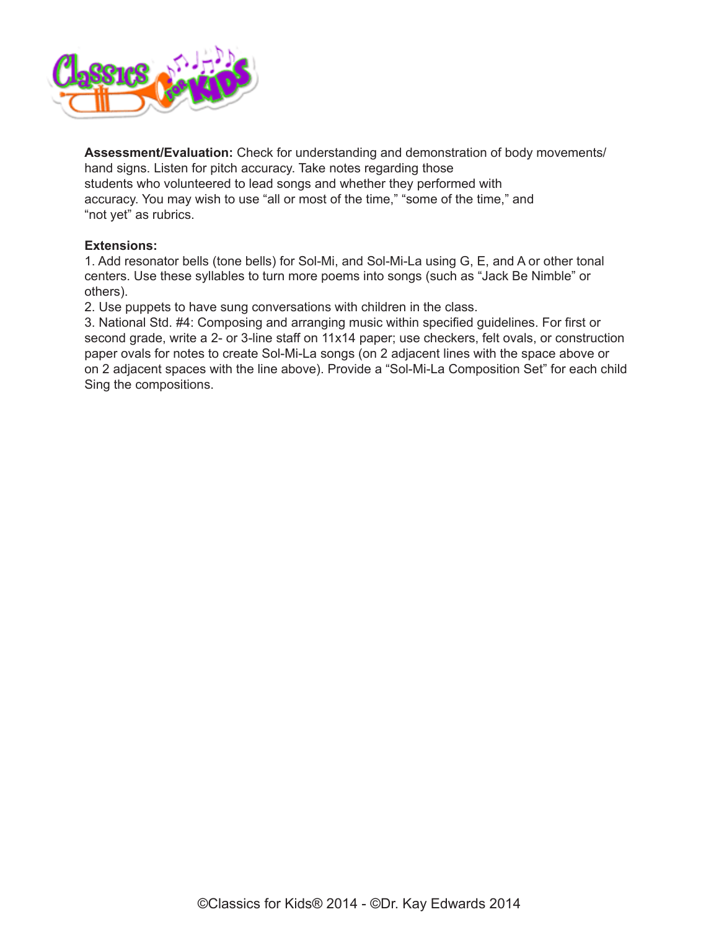

**Assessment/Evaluation:** Check for understanding and demonstration of body movements/ hand signs. Listen for pitch accuracy. Take notes regarding those students who volunteered to lead songs and whether they performed with accuracy. You may wish to use "all or most of the time," "some of the time," and "not yet" as rubrics.

## **Extensions:**

1. Add resonator bells (tone bells) for Sol-Mi, and Sol-Mi-La using G, E, and A or other tonal centers. Use these syllables to turn more poems into songs (such as "Jack Be Nimble" or others).

2. Use puppets to have sung conversations with children in the class.

3. National Std. #4: Composing and arranging music within specified guidelines. For first or second grade, write a 2- or 3-line staff on 11x14 paper; use checkers, felt ovals, or construction paper ovals for notes to create Sol-Mi-La songs (on 2 adjacent lines with the space above or on 2 adjacent spaces with the line above). Provide a "Sol-Mi-La Composition Set" for each child Sing the compositions.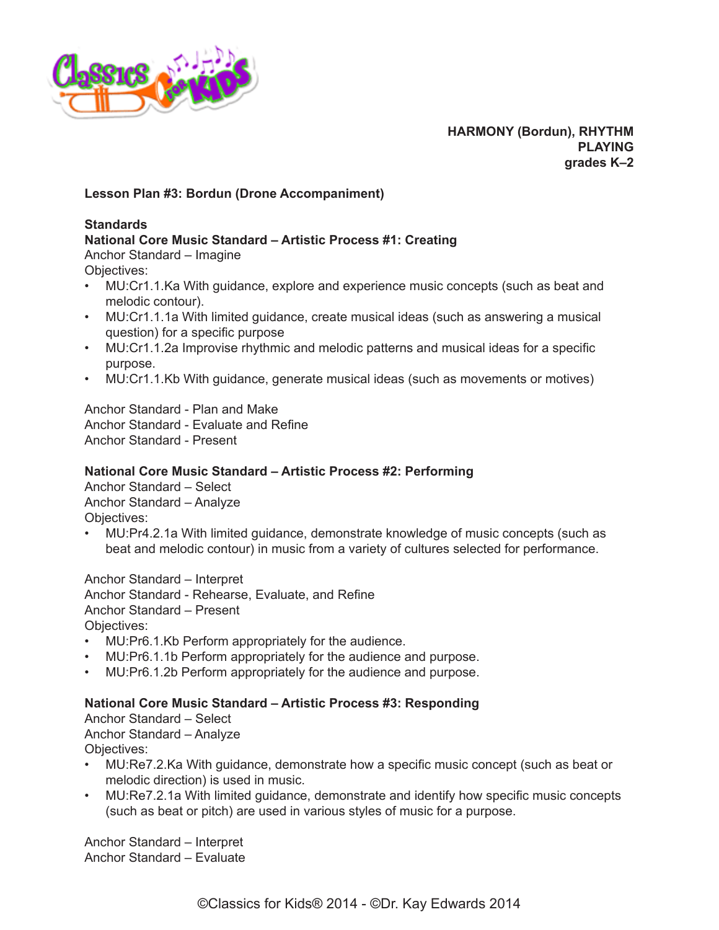

## **Lesson Plan #3: Bordun (Drone Accompaniment)**

## **Standards**

## **National Core Music Standard – Artistic Process #1: Creating**

Anchor Standard – Imagine

Objectives:

- MU:Cr1.1.Ka With guidance, explore and experience music concepts (such as beat and melodic contour).
- MU:Cr1.1.1a With limited guidance, create musical ideas (such as answering a musical question) for a specific purpose
- MU:Cr1.1.2a Improvise rhythmic and melodic patterns and musical ideas for a specific purpose.
- MU:Cr1.1.Kb With guidance, generate musical ideas (such as movements or motives)

Anchor Standard - Plan and Make Anchor Standard - Evaluate and Refine Anchor Standard - Present

#### **National Core Music Standard – Artistic Process #2: Performing**

Anchor Standard – Select Anchor Standard – Analyze Objectives:

• MU:Pr4.2.1a With limited guidance, demonstrate knowledge of music concepts (such as beat and melodic contour) in music from a variety of cultures selected for performance.

Anchor Standard – Interpret Anchor Standard - Rehearse, Evaluate, and Refine Anchor Standard – Present Objectives:

- MU:Pr6.1.Kb Perform appropriately for the audience.
- MU:Pr6.1.1b Perform appropriately for the audience and purpose.
- MU:Pr6.1.2b Perform appropriately for the audience and purpose.

#### **National Core Music Standard – Artistic Process #3: Responding**

Anchor Standard – Select Anchor Standard – Analyze Objectives:

- MU:Re7.2.Ka With guidance, demonstrate how a specific music concept (such as beat or melodic direction) is used in music.
- MU:Re7.2.1a With limited guidance, demonstrate and identify how specific music concepts (such as beat or pitch) are used in various styles of music for a purpose.

Anchor Standard – Interpret Anchor Standard – Evaluate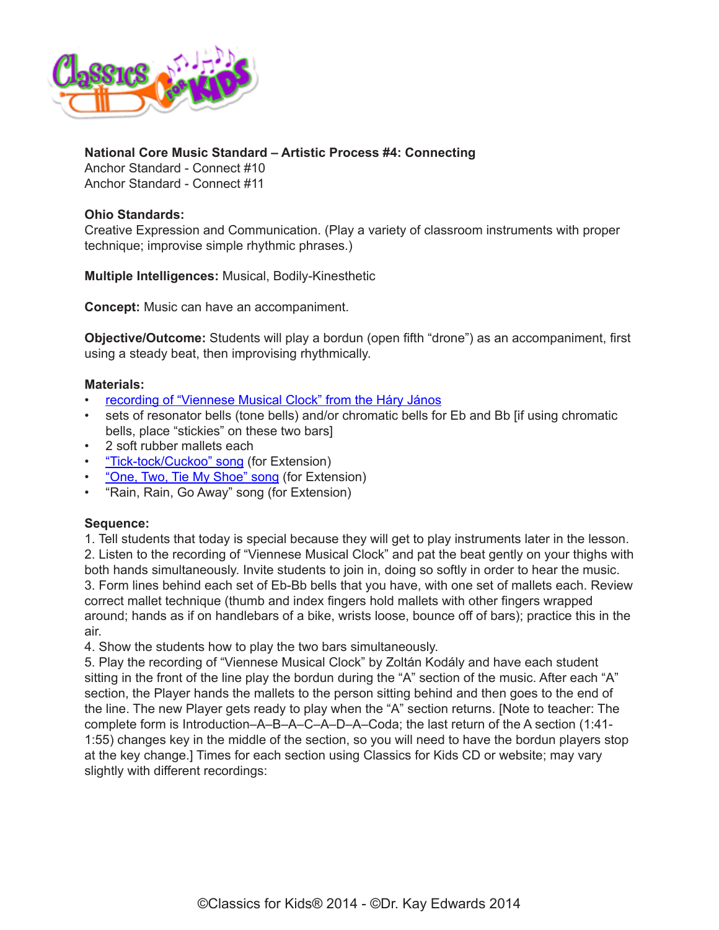

## **National Core Music Standard – Artistic Process #4: Connecting**

Anchor Standard - Connect #10 Anchor Standard - Connect #11

## **Ohio Standards:**

Creative Expression and Communication. (Play a variety of classroom instruments with proper technique; improvise simple rhythmic phrases.)

**Multiple Intelligences:** Musical, Bodily-Kinesthetic

**Concept:** Music can have an accompaniment.

**Objective/Outcome:** Students will play a bordun (open fifth "drone") as an accompaniment, first using a steady beat, then improvising rhythmically.

## **Materials:**

- recording of "Viennese Musical Clock" from the Háry János
- sets of resonator bells (tone bells) and/or chromatic bells for Eb and Bb [if using chromatic bells, place "stickies" on these two bars]
- 2 soft rubber mallets each
- ["Tick-tock/Cuckoo" song](https://www.classicsforkids.com/downloads/kodaly/TickTockCuckoo.pdf) (for Extension)
- ["One, Two, Tie My Shoe" song](https://www.classicsforkids.com/downloads/kodaly/RainRainOneTwo.pdf) (for Extension)
- "Rain, Rain, Go Away" song (for Extension)

#### **Sequence:**

1. Tell students that today is special because they will get to play instruments later in the lesson. 2. Listen to the recording of "Viennese Musical Clock" and pat the beat gently on your thighs with both hands simultaneously. Invite students to join in, doing so softly in order to hear the music. 3. Form lines behind each set of Eb-Bb bells that you have, with one set of mallets each. Review correct mallet technique (thumb and index fingers hold mallets with other fingers wrapped around; hands as if on handlebars of a bike, wrists loose, bounce off of bars); practice this in the air.

4. Show the students how to play the two bars simultaneously.

5. Play the recording of "Viennese Musical Clock" by Zoltán Kodály and have each student sitting in the front of the line play the bordun during the "A" section of the music. After each "A" section, the Player hands the mallets to the person sitting behind and then goes to the end of the line. The new Player gets ready to play when the "A" section returns. [Note to teacher: The complete form is Introduction–A–B–A–C–A–D–A–Coda; the last return of the A section (1:41- 1:55) changes key in the middle of the section, so you will need to have the bordun players stop at the key change.] Times for each section using Classics for Kids CD or website; may vary slightly with different recordings: